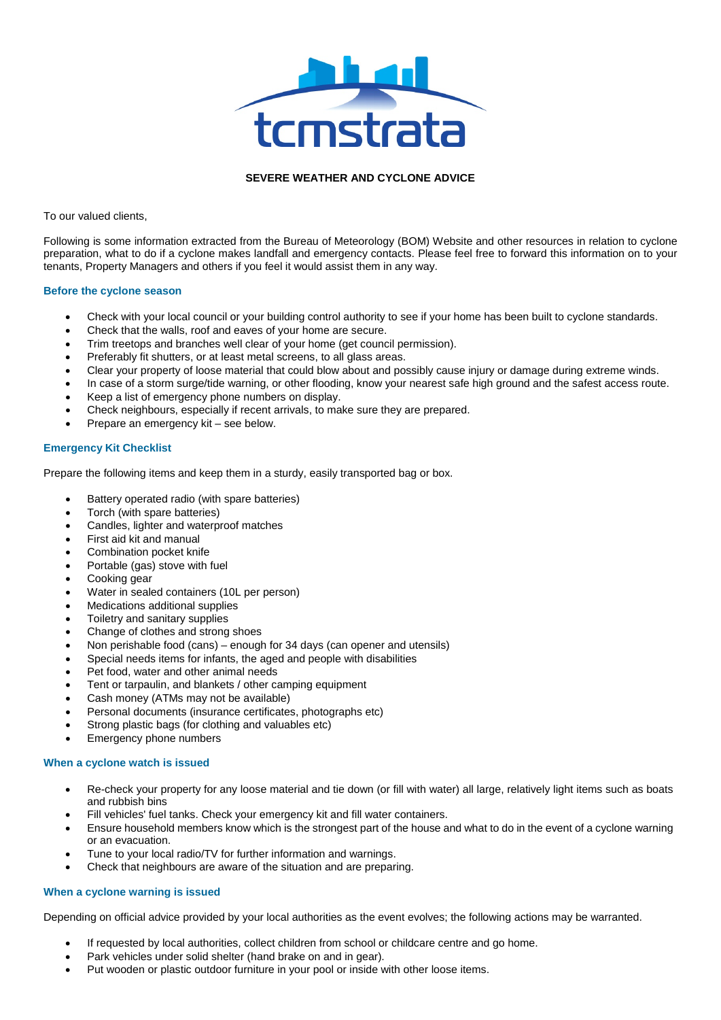

## **SEVERE WEATHER AND CYCLONE ADVICE**

To our valued clients,

Following is some information extracted from the Bureau of Meteorology (BOM) Website and other resources in relation to cyclone preparation, what to do if a cyclone makes landfall and emergency contacts. Please feel free to forward this information on to your tenants, Property Managers and others if you feel it would assist them in any way.

## **Before the cyclone season**

- Check with your local council or your building control authority to see if your home has been built to cyclone standards.
- Check that the walls, roof and eaves of your home are secure.
- Trim treetops and branches well clear of your home (get council permission).
- Preferably fit shutters, or at least metal screens, to all glass areas.
- Clear your property of loose material that could blow about and possibly cause injury or damage during extreme winds.
- In case of a storm surge/tide warning, or other flooding, know your nearest safe high ground and the safest access route.
- Keep a list of emergency phone numbers on display.
- Check neighbours, especially if recent arrivals, to make sure they are prepared.
- Prepare an emergency kit see below.

## **Emergency Kit Checklist**

Prepare the following items and keep them in a sturdy, easily transported bag or box.

- Battery operated radio (with spare batteries)
- Torch (with spare batteries)
- Candles, lighter and waterproof matches
- First aid kit and manual
- Combination pocket knife
- Portable (gas) stove with fuel
- Cooking gear
- Water in sealed containers (10L per person)
- Medications additional supplies
- Toiletry and sanitary supplies
- Change of clothes and strong shoes
- Non perishable food (cans) enough for 34 days (can opener and utensils)
- Special needs items for infants, the aged and people with disabilities
- Pet food, water and other animal needs
- Tent or tarpaulin, and blankets / other camping equipment
- Cash money (ATMs may not be available)
- Personal documents (insurance certificates, photographs etc)
- Strong plastic bags (for clothing and valuables etc)
- Emergency phone numbers

### **When a cyclone watch is issued**

- Re-check your property for any loose material and tie down (or fill with water) all large, relatively light items such as boats and rubbish bins
- Fill vehicles' fuel tanks. Check your emergency kit and fill water containers.
- Ensure household members know which is the strongest part of the house and what to do in the event of a cyclone warning or an evacuation.
- Tune to your local radio/TV for further information and warnings.
- Check that neighbours are aware of the situation and are preparing.

# **When a cyclone warning is issued**

Depending on official advice provided by your local authorities as the event evolves; the following actions may be warranted.

- If requested by local authorities, collect children from school or childcare centre and go home.
- Park vehicles under solid shelter (hand brake on and in gear).
- Put wooden or plastic outdoor furniture in your pool or inside with other loose items.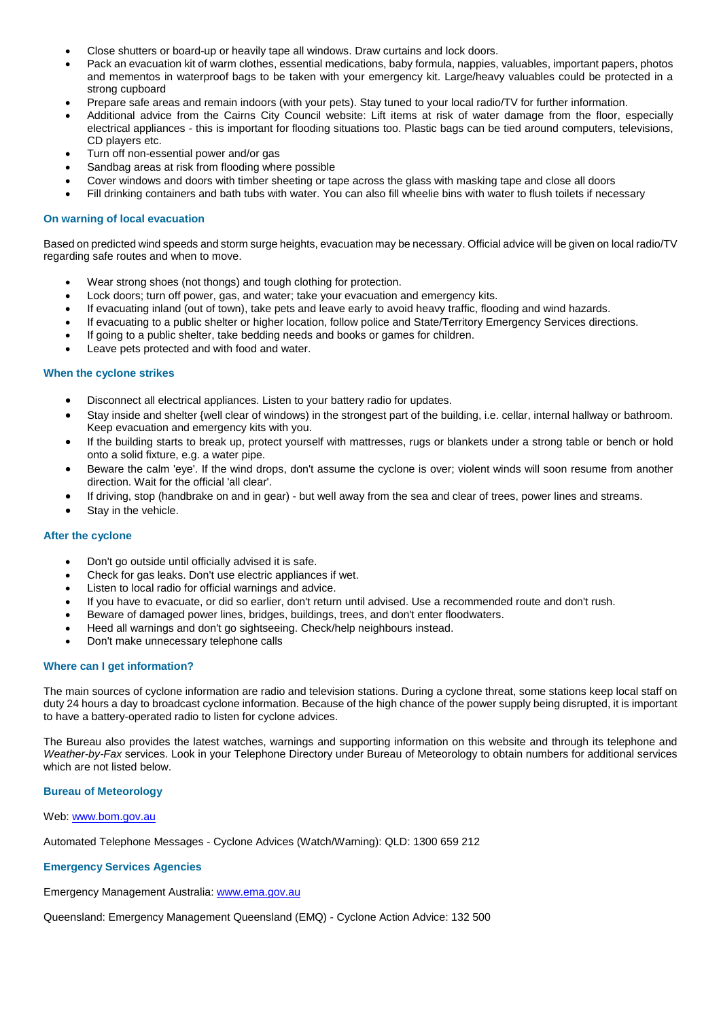- Close shutters or board-up or heavily tape all windows. Draw curtains and lock doors.
- Pack an evacuation kit of warm clothes, essential medications, baby formula, nappies, valuables, important papers, photos and mementos in waterproof bags to be taken with your emergency kit. Large/heavy valuables could be protected in a strong cupboard
- Prepare safe areas and remain indoors (with your pets). Stay tuned to your local radio/TV for further information.
- Additional advice from the Cairns City Council website: Lift items at risk of water damage from the floor, especially electrical appliances - this is important for flooding situations too. Plastic bags can be tied around computers, televisions, CD players etc.
- Turn off non-essential power and/or gas
- Sandbag areas at risk from flooding where possible
- Cover windows and doors with timber sheeting or tape across the glass with masking tape and close all doors
- Fill drinking containers and bath tubs with water. You can also fill wheelie bins with water to flush toilets if necessary

### **On warning of local evacuation**

Based on predicted wind speeds and storm surge heights, evacuation may be necessary. Official advice will be given on local radio/TV regarding safe routes and when to move.

- Wear strong shoes (not thongs) and tough clothing for protection.
- Lock doors; turn off power, gas, and water; take your evacuation and emergency kits.
- If evacuating inland (out of town), take pets and leave early to avoid heavy traffic, flooding and wind hazards.
- If evacuating to a public shelter or higher location, follow police and State/Territory Emergency Services directions.
- If going to a public shelter, take bedding needs and books or games for children.
- Leave pets protected and with food and water.

#### **When the cyclone strikes**

- Disconnect all electrical appliances. Listen to your battery radio for updates.
- Stay inside and shelter {well clear of windows) in the strongest part of the building, i.e. cellar, internal hallway or bathroom. Keep evacuation and emergency kits with you.
- If the building starts to break up, protect yourself with mattresses, rugs or blankets under a strong table or bench or hold onto a solid fixture, e.g. a water pipe.
- Beware the calm 'eye'. If the wind drops, don't assume the cyclone is over; violent winds will soon resume from another direction. Wait for the official 'all clear'.
- If driving, stop (handbrake on and in gear) but well away from the sea and clear of trees, power lines and streams.
- Stay in the vehicle.

#### **After the cyclone**

- Don't go outside until officially advised it is safe.
- Check for gas leaks. Don't use electric appliances if wet.
- Listen to local radio for official warnings and advice.
- If you have to evacuate, or did so earlier, don't return until advised. Use a recommended route and don't rush.
- Beware of damaged power lines, bridges, buildings, trees, and don't enter floodwaters.
- Heed all warnings and don't go sightseeing. Check/help neighbours instead.
- Don't make unnecessary telephone calls

#### **Where can I get information?**

The main sources of cyclone information are radio and television stations. During a cyclone threat, some stations keep local staff on duty 24 hours a day to broadcast cyclone information. Because of the high chance of the power supply being disrupted, it is important to have a battery-operated radio to listen for cyclone advices.

The Bureau also provides the latest watches, warnings and supporting information on this website and through its telephone and *Weather-by-Fax* services. Look in your Telephone Directory under Bureau of Meteorology to obtain numbers for additional services which are not listed below.

#### **Bureau of Meteorology**

Web[: www.bom.gov.au](http://www.bom.gov.au/)

Automated Telephone Messages - Cyclone Advices (Watch/Warning): QLD: 1300 659 212

#### **Emergency Services Agencies**

Emergency Management Australia: [www.ema.gov.au](http://www.ema.gov.au/)

Queensland: Emergency Management Queensland (EMQ) - Cyclone Action Advice: 132 500